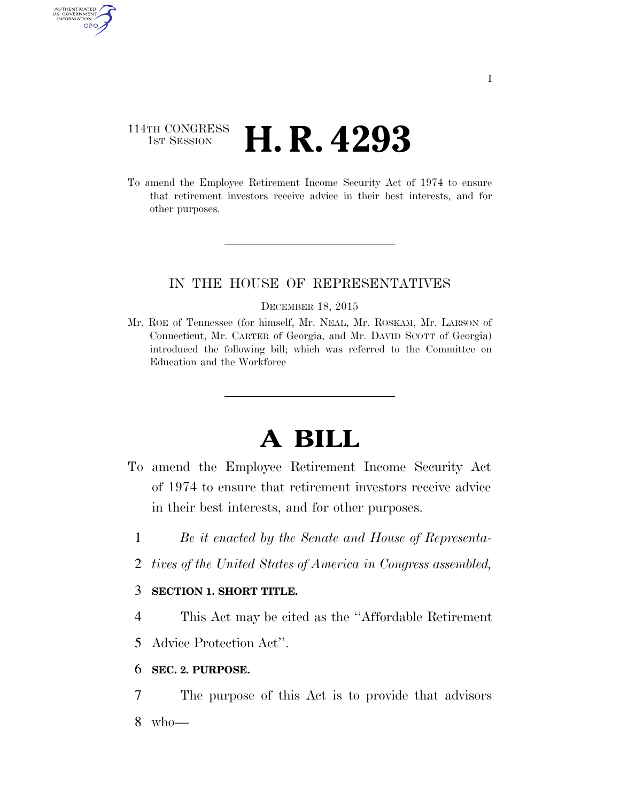## 114TH CONGRESS **1ST SESSION <b>H. R. 4293**

AUTHENTICATED U.S. GOVERNMENT GPO

> To amend the Employee Retirement Income Security Act of 1974 to ensure that retirement investors receive advice in their best interests, and for other purposes.

### IN THE HOUSE OF REPRESENTATIVES

#### DECEMBER 18, 2015

Mr. ROE of Tennessee (for himself, Mr. NEAL, Mr. ROSKAM, Mr. LARSON of Connecticut, Mr. CARTER of Georgia, and Mr. DAVID SCOTT of Georgia) introduced the following bill; which was referred to the Committee on Education and the Workforce

# **A BILL**

- To amend the Employee Retirement Income Security Act of 1974 to ensure that retirement investors receive advice in their best interests, and for other purposes.
	- 1 *Be it enacted by the Senate and House of Representa-*
	- 2 *tives of the United States of America in Congress assembled,*

### 3 **SECTION 1. SHORT TITLE.**

4 This Act may be cited as the ''Affordable Retirement

5 Advice Protection Act''.

### 6 **SEC. 2. PURPOSE.**

7 The purpose of this Act is to provide that advisors 8 who—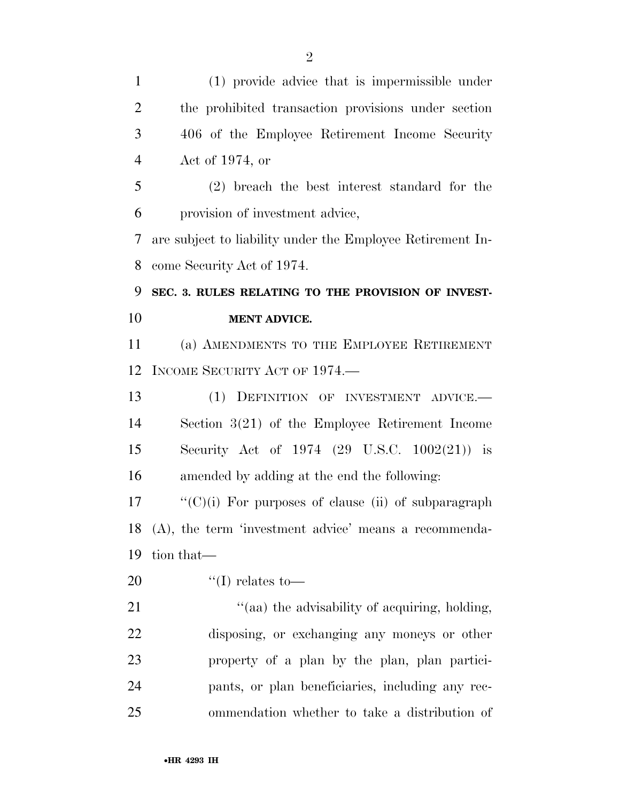| $\mathbf{1}$   | (1) provide advice that is impermissible under              |
|----------------|-------------------------------------------------------------|
| $\overline{2}$ | the prohibited transaction provisions under section         |
| 3              | 406 of the Employee Retirement Income Security              |
| $\overline{4}$ | Act of $1974$ , or                                          |
| 5              | $(2)$ breach the best interest standard for the             |
| 6              | provision of investment advice,                             |
| 7              | are subject to liability under the Employee Retirement In-  |
| 8              | come Security Act of 1974.                                  |
| 9              | SEC. 3. RULES RELATING TO THE PROVISION OF INVEST-          |
| 10             | <b>MENT ADVICE.</b>                                         |
| 11             | (a) AMENDMENTS TO THE EMPLOYEE RETIREMENT                   |
| 12             | INCOME SECURITY ACT OF 1974.                                |
| 13             | (1) DEFINITION OF INVESTMENT ADVICE.                        |
| 14             | Section $3(21)$ of the Employee Retirement Income           |
| 15             | Security Act of $1974$ (29 U.S.C. $1002(21)$ ) is           |
| 16             | amended by adding at the end the following:                 |
| 17             | $\lq\lq$ (C)(i) For purposes of clause (ii) of subparagraph |
| 18             | $(A)$ , the term 'investment advice' means a recommenda-    |
| 19             | tion that—                                                  |
| 20             | "(I) relates to —                                           |
| 21             | "(aa) the advisability of acquiring, holding,               |
| 22             | disposing, or exchanging any moneys or other                |
| 23             | property of a plan by the plan, plan partici-               |
| 24             | pants, or plan beneficiaries, including any rec-            |
| 25             | ommendation whether to take a distribution of               |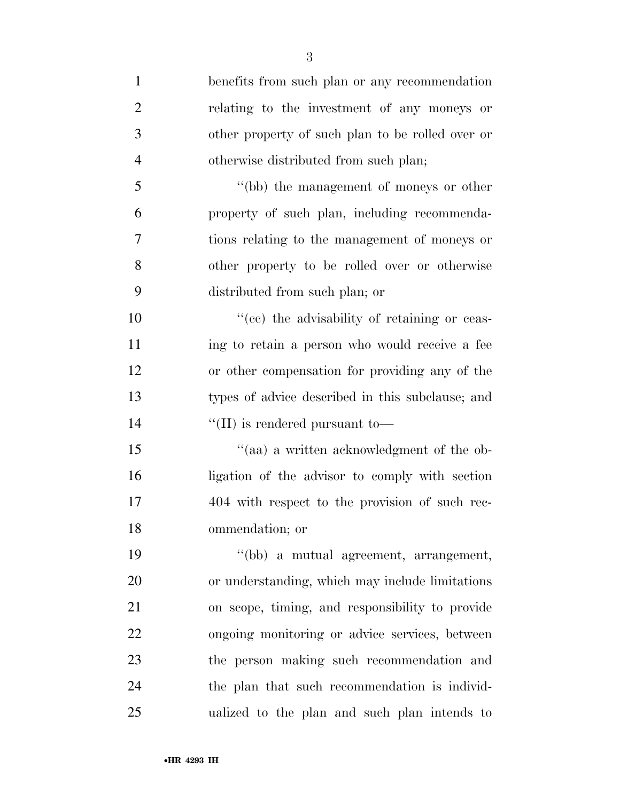| $\mathbf{1}$   | benefits from such plan or any recommendation    |
|----------------|--------------------------------------------------|
| $\overline{2}$ | relating to the investment of any moneys or      |
| 3              | other property of such plan to be rolled over or |
| $\overline{4}$ | otherwise distributed from such plan;            |
| 5              | "(bb) the management of moneys or other          |
| 6              | property of such plan, including recommenda-     |
| 7              | tions relating to the management of moneys or    |
| 8              | other property to be rolled over or otherwise    |
| 9              | distributed from such plan; or                   |
| 10             | "(cc) the advisability of retaining or ceas-     |
| 11             | ing to retain a person who would receive a fee   |
| 12             | or other compensation for providing any of the   |
| 13             | types of advice described in this subclause; and |
| 14             | $\lq\lq$ (II) is rendered pursuant to-           |
| 15             | "(aa) a written acknowledgment of the ob-        |
| 16             | ligation of the advisor to comply with section   |
| 17             | 404 with respect to the provision of such rec-   |
| 18             | ommendation; or                                  |
| 19             | "(bb) a mutual agreement, arrangement,           |
| 20             | or understanding, which may include limitations  |
| 21             | on scope, timing, and responsibility to provide  |
| 22             | ongoing monitoring or advice services, between   |
| 23             | the person making such recommendation and        |
| 24             | the plan that such recommendation is individ-    |
| 25             | ualized to the plan and such plan intends to     |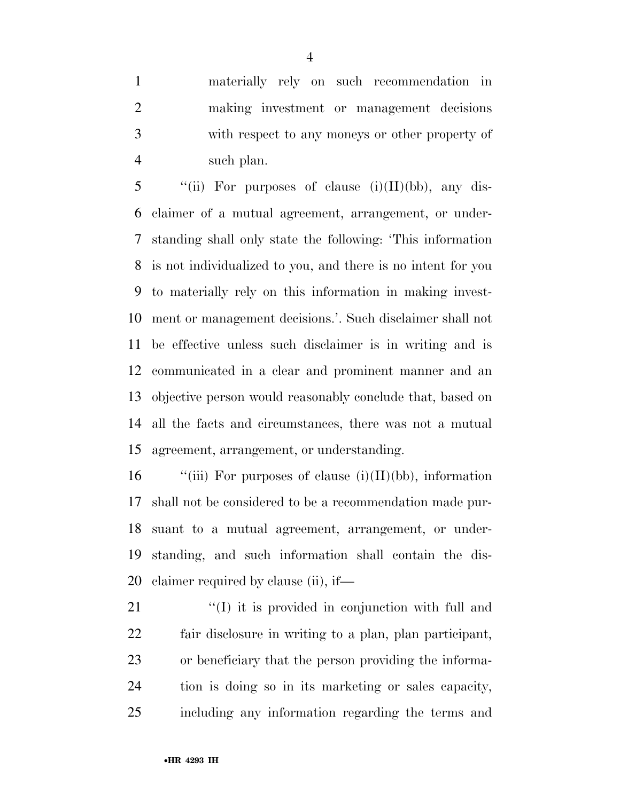materially rely on such recommendation in making investment or management decisions with respect to any moneys or other property of such plan.

 $\lq$  (ii) For purposes of clause (i)(II)(bb), any dis- claimer of a mutual agreement, arrangement, or under- standing shall only state the following: 'This information is not individualized to you, and there is no intent for you to materially rely on this information in making invest- ment or management decisions.'. Such disclaimer shall not be effective unless such disclaimer is in writing and is communicated in a clear and prominent manner and an objective person would reasonably conclude that, based on all the facts and circumstances, there was not a mutual agreement, arrangement, or understanding.

 $\qquad$  "(iii) For purposes of clause (i)(II)(bb), information shall not be considered to be a recommendation made pur- suant to a mutual agreement, arrangement, or under- standing, and such information shall contain the dis-claimer required by clause (ii), if—

21 "(I) it is provided in conjunction with full and fair disclosure in writing to a plan, plan participant, or beneficiary that the person providing the informa- tion is doing so in its marketing or sales capacity, including any information regarding the terms and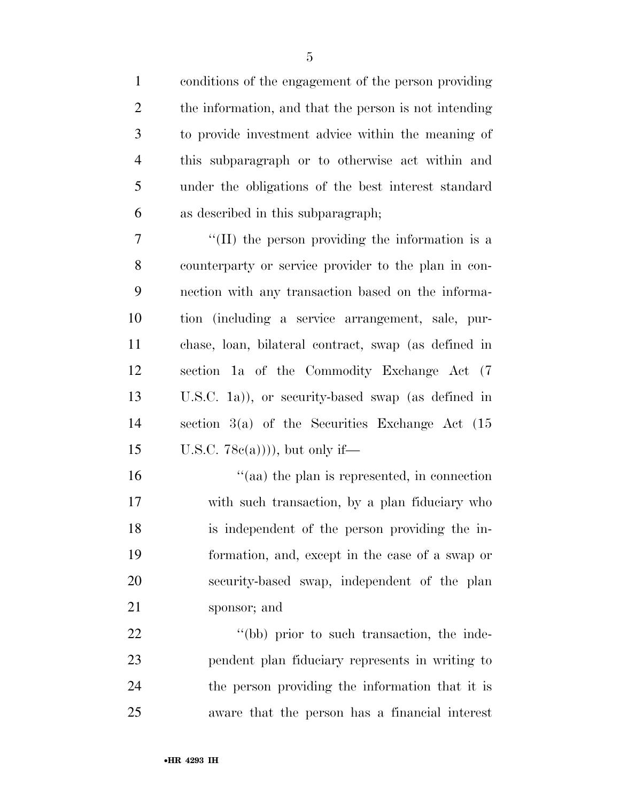conditions of the engagement of the person providing the information, and that the person is not intending to provide investment advice within the meaning of this subparagraph or to otherwise act within and under the obligations of the best interest standard as described in this subparagraph; ''(II) the person providing the information is a counterparty or service provider to the plan in con- nection with any transaction based on the informa- tion (including a service arrangement, sale, pur- chase, loan, bilateral contract, swap (as defined in section 1a of the Commodity Exchange Act (7 U.S.C. 1a)), or security-based swap (as defined in section 3(a) of the Securities Exchange Act (15 15 U.S.C.  $78c(a))$ , but only if—  $\frac{16}{2}$  (aa) the plan is represented, in connection with such transaction, by a plan fiduciary who

 is independent of the person providing the in- formation, and, except in the case of a swap or security-based swap, independent of the plan sponsor; and

22 ''(bb) prior to such transaction, the inde- pendent plan fiduciary represents in writing to the person providing the information that it is aware that the person has a financial interest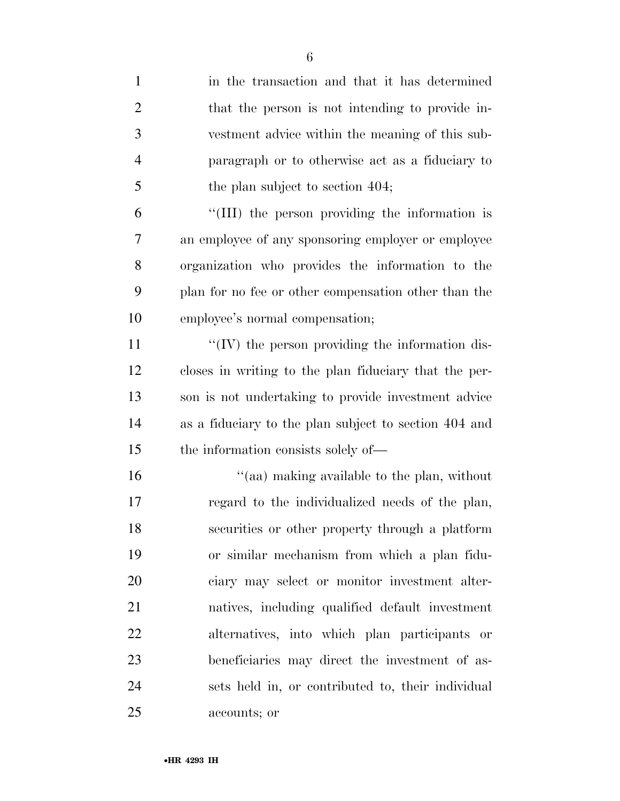| 1              | in the transaction and that it has determined         |
|----------------|-------------------------------------------------------|
| $\overline{2}$ | that the person is not intending to provide in-       |
| 3              | vestment advice within the meaning of this sub-       |
| $\overline{4}$ | paragraph or to otherwise act as a fiduciary to       |
| 5              | the plan subject to section 404;                      |
| 6              | "(III) the person providing the information is        |
| 7              | an employee of any sponsoring employer or employee    |
| 8              | organization who provides the information to the      |
| 9              | plan for no fee or other compensation other than the  |
| 10             | employee's normal compensation;                       |
| 11             | "(IV) the person providing the information dis-       |
| 12             | closes in writing to the plan fiduciary that the per- |
| 13             | son is not undertaking to provide investment advice   |
| 14             | as a fiduciary to the plan subject to section 404 and |
| 15             | the information consists solely of—                   |
| 16             | "(aa) making available to the plan, without           |
| 17             | regard to the individualized needs of the plan,       |
| 18             | securities or other property through a platform       |
| 19             | or similar mechanism from which a plan fidu-          |
| 20             | ciary may select or monitor investment alter-         |
| 21             | natives, including qualified default investment       |
| 22             | alternatives, into which plan participants or         |
| 23             | beneficiaries may direct the investment of as-        |
| 24             | sets held in, or contributed to, their individual     |
| 25             | accounts; or                                          |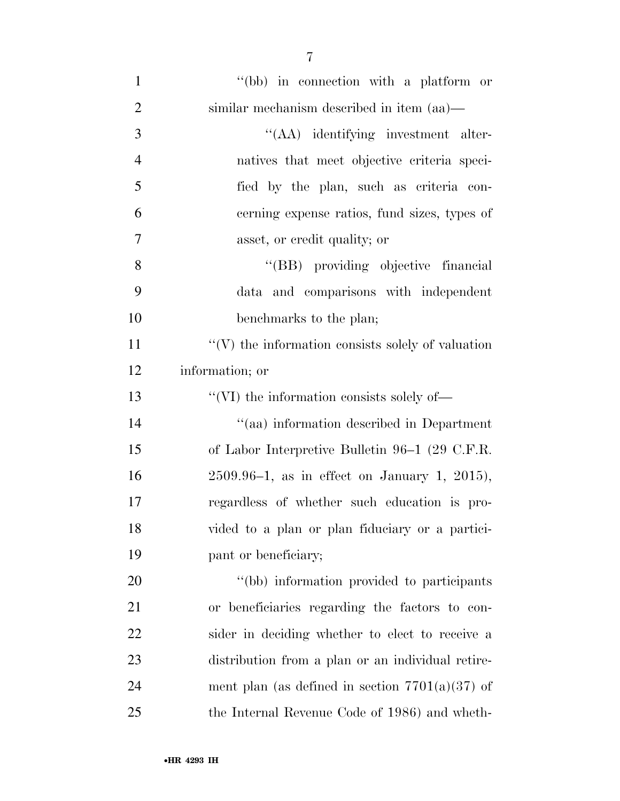| $\mathbf{1}$   | "(bb) in connection with a platform or                   |
|----------------|----------------------------------------------------------|
| $\overline{2}$ | similar mechanism described in item (aa)—                |
| 3              | "(AA) identifying investment alter-                      |
| $\overline{4}$ | natives that meet objective criteria speci-              |
| 5              | fied by the plan, such as criteria con-                  |
| 6              | cerning expense ratios, fund sizes, types of             |
| $\overline{7}$ | asset, or credit quality; or                             |
| 8              | "(BB) providing objective financial                      |
| 9              | data and comparisons with independent                    |
| 10             | benchmarks to the plan;                                  |
| 11             | $\lq\lq(V)$ the information consists solely of valuation |
| 12             | information; or                                          |
| 13             | $\lq\lq$ (VI) the information consists solely of —       |
| 14             | "(aa) information described in Department                |
| 15             | of Labor Interpretive Bulletin 96–1 (29 C.F.R.           |
| 16             | $2509.96-1$ , as in effect on January 1, 2015),          |
| 17             | regardless of whether such education is pro-             |
| 18             | vided to a plan or plan fiduciary or a partici-          |
| 19             | pant or beneficiary;                                     |
| 20             | "(bb) information provided to participants               |
| 21             | or beneficiaries regarding the factors to con-           |
| 22             | sider in deciding whether to elect to receive a          |
| 23             | distribution from a plan or an individual retire-        |
| 24             | ment plan (as defined in section $7701(a)(37)$ of        |
| 25             | the Internal Revenue Code of 1986) and wheth-            |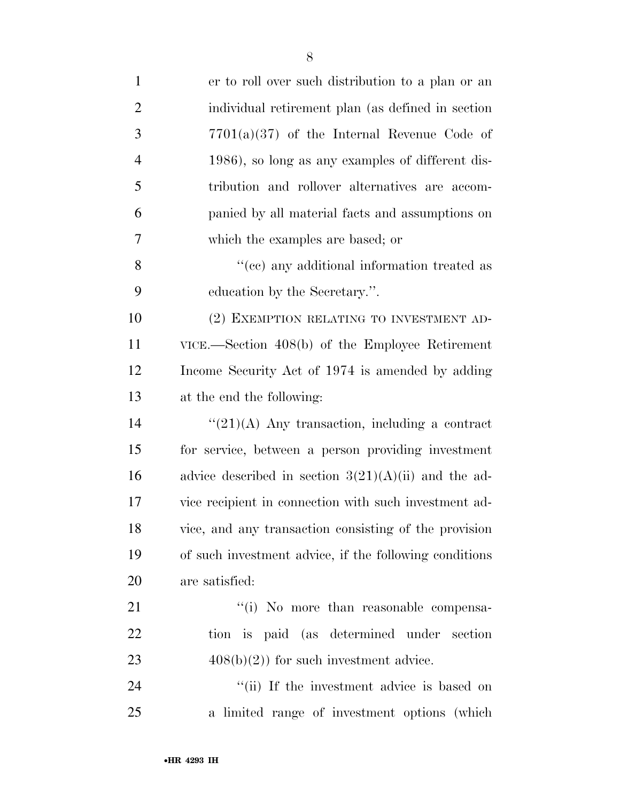| $\mathbf{1}$   | er to roll over such distribution to a plan or an           |
|----------------|-------------------------------------------------------------|
| $\overline{2}$ | individual retirement plan (as defined in section           |
| 3              | $7701(a)(37)$ of the Internal Revenue Code of               |
| $\overline{4}$ | 1986), so long as any examples of different dis-            |
| 5              | tribution and rollover alternatives are accom-              |
| 6              | panied by all material facts and assumptions on             |
| 7              | which the examples are based; or                            |
| 8              | "(cc) any additional information treated as                 |
| 9              | education by the Secretary.".                               |
| 10             | (2) EXEMPTION RELATING TO INVESTMENT AD-                    |
| 11             | $VICE. - Section 408(b)$ of the Employee Retirement         |
| 12             | Income Security Act of 1974 is amended by adding            |
| 13             | at the end the following:                                   |
| 14             | $\lq(21)(\mathrm{A})$ Any transaction, including a contract |
| 15             | for service, between a person providing investment          |
| 16             | advice described in section $3(21)(A)(ii)$ and the ad-      |
| 17             | vice recipient in connection with such investment ad-       |
| 18             | vice, and any transaction consisting of the provision       |
| 19             | of such investment advice, if the following conditions      |
| 20             | are satisfied:                                              |
| 21             | "(i) No more than reasonable compensa-                      |
| 22             | tion is paid (as determined under section                   |
| 23             | $408(b)(2)$ for such investment advice.                     |
| 24             | "(ii) If the investment advice is based on                  |
| 25             | a limited range of investment options (which                |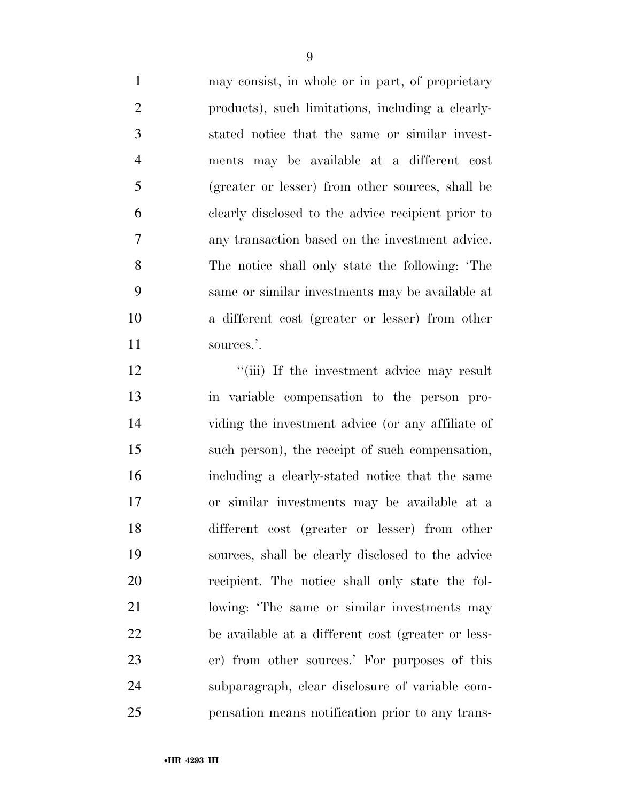may consist, in whole or in part, of proprietary products), such limitations, including a clearly- stated notice that the same or similar invest- ments may be available at a different cost (greater or lesser) from other sources, shall be clearly disclosed to the advice recipient prior to any transaction based on the investment advice. The notice shall only state the following: 'The same or similar investments may be available at a different cost (greater or lesser) from other 11 sources.'.

12 "(iii) If the investment advice may result in variable compensation to the person pro- viding the investment advice (or any affiliate of such person), the receipt of such compensation, including a clearly-stated notice that the same or similar investments may be available at a different cost (greater or lesser) from other sources, shall be clearly disclosed to the advice recipient. The notice shall only state the fol- lowing: 'The same or similar investments may be available at a different cost (greater or less- er) from other sources.' For purposes of this subparagraph, clear disclosure of variable com-pensation means notification prior to any trans-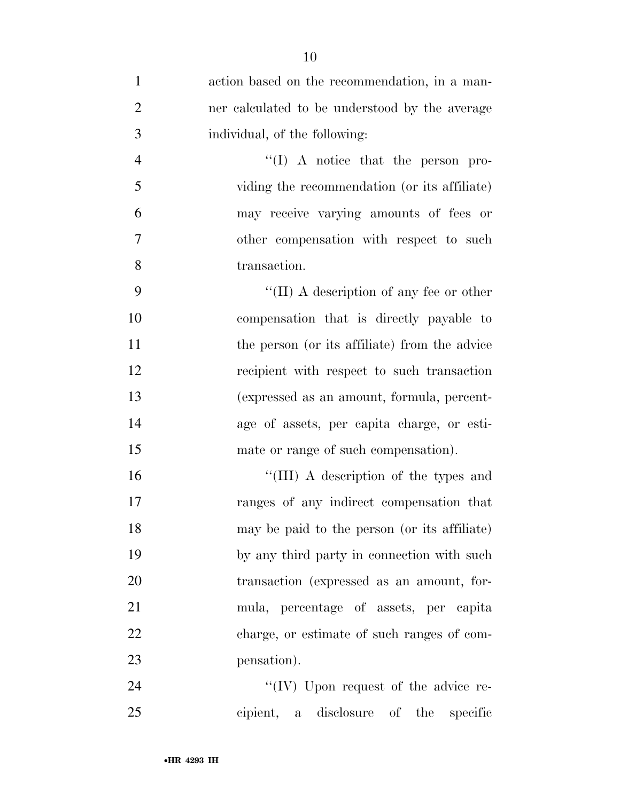| $\mathbf{1}$   | action based on the recommendation, in a man-  |
|----------------|------------------------------------------------|
| $\overline{2}$ | ner calculated to be understood by the average |
| 3              | individual, of the following:                  |
| $\overline{4}$ | $\lq\lq$ (I) A notice that the person pro-     |
| 5              | viding the recommendation (or its affiliate)   |
| 6              | may receive varying amounts of fees or         |
| 7              | other compensation with respect to such        |
| 8              | transaction.                                   |
| 9              | "(II) A description of any fee or other        |
| 10             | compensation that is directly payable to       |
| 11             | the person (or its affiliate) from the advice  |
| 12             | recipient with respect to such transaction     |
| 13             | (expressed as an amount, formula, percent-     |
| 14             | age of assets, per capita charge, or esti-     |
| 15             | mate or range of such compensation).           |
| 16             | "(III) A description of the types and          |
| 17             | ranges of any indirect compensation that       |
| 18             | may be paid to the person (or its affiliate)   |
| 19             | by any third party in connection with such     |
| 20             | transaction (expressed as an amount, for-      |
| 21             | mula, percentage of assets, per capita         |
| 22             | charge, or estimate of such ranges of com-     |
| 23             | pensation).                                    |
| 24             | "(IV) Upon request of the advice re-           |
| 25             | cipient, a disclosure of<br>the<br>specific    |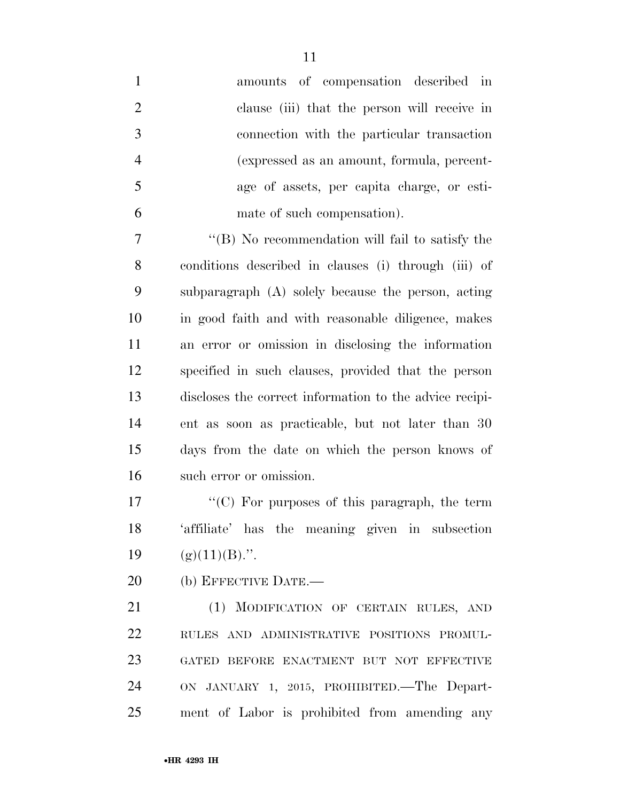| $\mathbf{1}$   | amounts of compensation described in                    |
|----------------|---------------------------------------------------------|
| $\overline{2}$ | clause (iii) that the person will receive in            |
| 3              | connection with the particular transaction              |
| $\overline{4}$ | (expressed as an amount, formula, percent-              |
| 5              | age of assets, per capita charge, or esti-              |
| 6              | mate of such compensation).                             |
| 7              | "(B) No recommendation will fail to satisfy the         |
| 8              | conditions described in clauses (i) through (iii) of    |
| 9              | subparagraph $(A)$ solely because the person, acting    |
| 10             | in good faith and with reasonable diligence, makes      |
| 11             | an error or omission in disclosing the information      |
| 12             | specified in such clauses, provided that the person     |
| 13             | discloses the correct information to the advice recipi- |
| 14             | ent as soon as practicable, but not later than 30       |
| 15             | days from the date on which the person knows of         |
| 16             | such error or omission.                                 |
| 17             | "(C) For purposes of this paragraph, the term           |
| 18             | 'affiliate' has the meaning given in subsection         |
| 19             | $(g)(11)(B)$ .".                                        |
| 20             | (b) EFFECTIVE DATE.-                                    |
| 21             | (1) MODIFICATION OF CERTAIN RULES, AND                  |
| 22             | RULES AND ADMINISTRATIVE POSITIONS PROMUL-              |
| 23             | GATED BEFORE ENACTMENT BUT NOT EFFECTIVE                |
| 24             | ON JANUARY 1, 2015, PROHIBITED. The Depart-             |
| 25             | ment of Labor is prohibited from amending any           |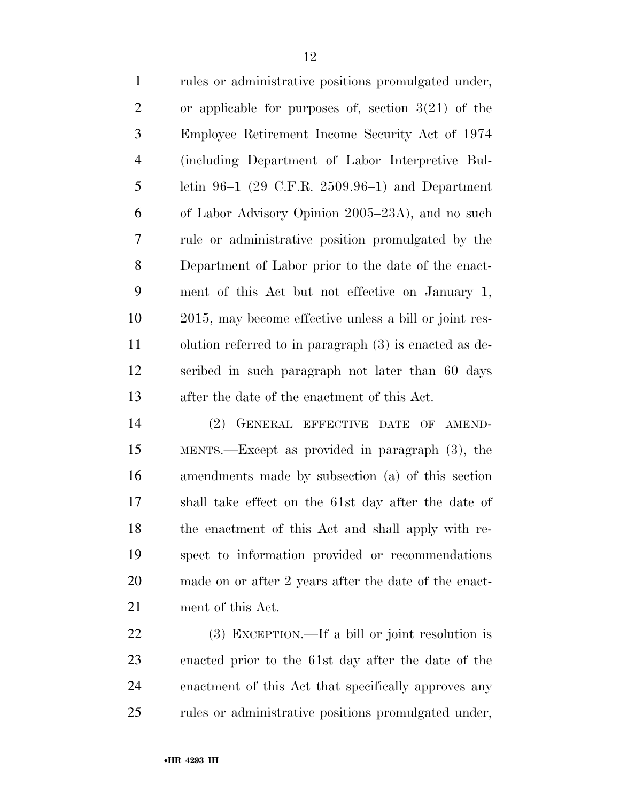rules or administrative positions promulgated under, or applicable for purposes of, section 3(21) of the Employee Retirement Income Security Act of 1974 (including Department of Labor Interpretive Bul- letin 96–1 (29 C.F.R. 2509.96–1) and Department of Labor Advisory Opinion 2005–23A), and no such rule or administrative position promulgated by the Department of Labor prior to the date of the enact- ment of this Act but not effective on January 1, 2015, may become effective unless a bill or joint res- olution referred to in paragraph (3) is enacted as de- scribed in such paragraph not later than 60 days after the date of the enactment of this Act.

 (2) GENERAL EFFECTIVE DATE OF AMEND- MENTS.—Except as provided in paragraph (3), the amendments made by subsection (a) of this section shall take effect on the 61st day after the date of the enactment of this Act and shall apply with re- spect to information provided or recommendations made on or after 2 years after the date of the enact-ment of this Act.

 (3) EXCEPTION.—If a bill or joint resolution is enacted prior to the 61st day after the date of the enactment of this Act that specifically approves any rules or administrative positions promulgated under,